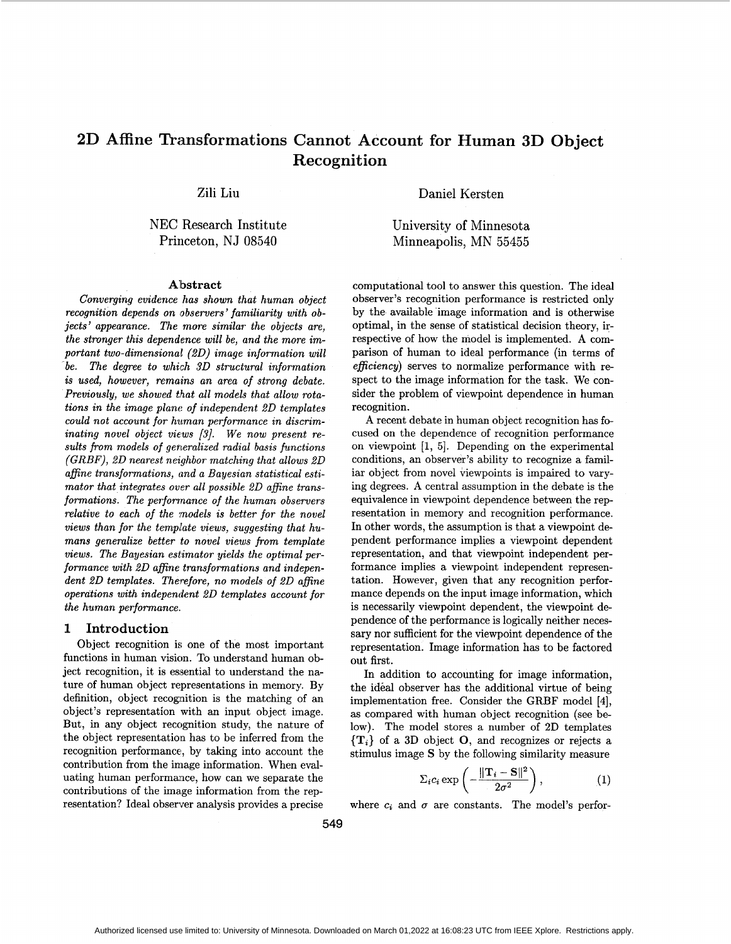# **2D Affine Transformations Cannot Account for Human 3D Object Recognit ion**

Zili Liu

NEC Research Institute Princeton, NJ **08540** 

#### **Albstract**

*Converging evidence has shown that human object recognition depends on observers' familiarity with objects' appearance. The more similar the objects are, the stronger this dependence will be, and the more important two-dimensional (2D) image information wall 'be. The degree to which 3D structural information is used, however, remains an area of strong debate. Previously, we showed that all models that allow rotations in the image plant: of independent 2D templates*  could not account for human performance in discrim*inating novel object views [3]. We now present re*sults from models of generalized radial basis functions *(GRBF), 2D nearest nezghbor matching that allows 2D affine transformations, and a Bayesian statistical estimator that integrates over all possible 2D affine transformations. The performance of the human observers relative to each of the models is better for the novel views than for the tempdate views, suggesting that humans generalize better to novel views from template views. The Bayesian esiimator yields the optimal performance with 2D affine transformations and independent 2D templates. Therefore, no models of 2D afine operations with independent 2D templates account for the human performance.* 

#### **1 Introduction**

Object recognition is one of the most important functions in human vision. To understand human object recognition, it is essential to understand the nature of human object representations in memory. By definition, object recognition is the matching of an object's representation with an input object image. But, in any object recognition study, the nature of the object representation has to be inferred from the recognition performance, by taking into account the contribution from the image information. When evaluating human performance, how can we separate the contributions of the image information from the representation? Ideal observer analysis provides a precise

Daniel Kersten

University of Minnesota Minneapolis, MN **55455** 

computational tool to answer this question. The ideal observer's recognition performance is restricted only by the available image information and is otherwise optimal, in the sense of statistical decision theory, irrespective of how the model is implemented. **A** comparison of human to ideal performance (in terms of *eficiency)* serves to normalize performance with respect to the image information for the task. We consider the problem of viewpoint dependence in human recognition.

**A** recent debate in human object recognition has focused on the dependence of recognition performance on viewpoint **[l,** 51. Depending on the experimental conditions, an observer's ability to recognize a familiar object from novel viewpoints is impaired to varying degrees. **A** central assumption in the debate is the equivalence in viewpoint dependence between the representation in memory and recognition performance. In other words, the assumption is that a viewpoint dependent performance implies a viewpoint dependent representation, and that viewpoint independent performance implies a viewpoint independent representation. However, given that any recognition performance depends on the input image information, which is necessarily viewpoint dependent, the viewpoint dependence of the performance is logically neither necessary nor sufficient for the viewpoint dependence of the representation. Image information has to be factored out first.

In addition to accounting for image information, the ideal observer has the additional virtue of being implementation free. Consider the GRBF model **[4],**  as compared with human object recognition (see below). The model stores a number of 2D templates  $\{T_i\}$  of a 3D object O, and recognizes or rejects a stimulus image **S** by the following similarity measure

$$
\Sigma_i c_i \exp\left(-\frac{\|\mathbf{T}_i - \mathbf{S}\|^2}{2\sigma^2}\right),\tag{1}
$$

where  $c_i$  and  $\sigma$  are constants. The model's perfor-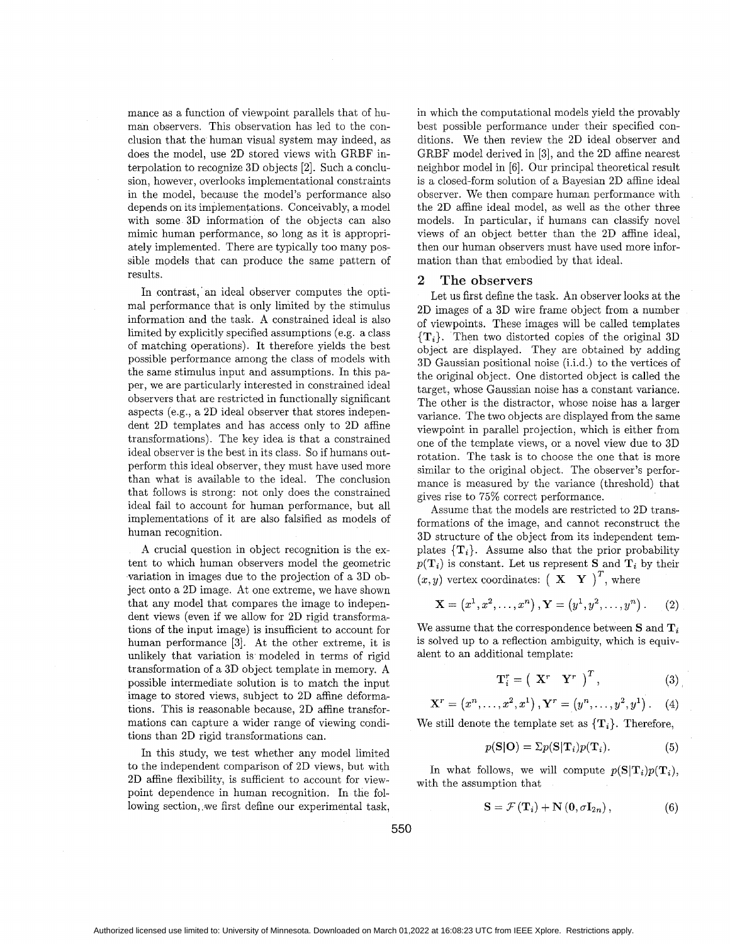mance as a function of viewpoint parallels that of human observers. This observation has led to the conclusion that the human visual system may indeed, as does the model, use 2D stored views with GRBF interpolation to recognize 3D objects [2]. Such a conclusion, however, overlooks implementational constraints in the model, because the model's performance also depends on its implementations. Conceivably, a model with some 3D information of the objects can also mimic human performance, so long as it is appropriately implemented. There are typically too many possible models that can produce the same pattern of results.

In contrast, an ideal observer computes the optimal performance that is only limited by the stimulus information and the task. A constrained ideal is also limited by explicitly specified assumptions (e.g. a class of matching operations). It therefore yields the best possible performance among the class of models with the same stimulus input and assumptions. In this paper, we are particularly interested in constrained ideal observers that are restricted in functionally significant aspects (e.g., a 2D ideal observer that stores independent 2D templates and has access only to 2D affine transformations). The key idea is that a constrained ideal observer is the best in its class. So if humans outperform this ideal observer, they must have used more than what is available to the ideal. The conclusion that follows is strong: not only does the constrained ideal fail to account for human performance, but all implementations of it are also falsified as models of human recognition.

A crucial question in object recognition is the extent to which human observers model the geometric variation in images due to the projection of a 3D object onto a 2D image. At one extreme, we have shown that any model that compares the image to independent views (even if we allow for 2D rigid transformations of the input image) is insufficient to account for human performance **[3].** At the other extreme, it is unlikely that variation is modeled in terms of rigid transformation of a 3D object template in memory. A possible intermediate solution is to match the input image to stored views, subject to 2D affine deformations. This is reasonable because, 2D affine transformations can capture a wider range of viewing conditions than 2D rigid transformations can.

In this study, we test whether any model limited to the independent comparison of 2D views, but with 2D affine flexibility, is sufficient to account for viewpoint dependence in human recognition. In the following section, we first define our experimental task.

in which the computational models yield the provably best possible performance under their specified conditions. We then review the 2D ideal observer and GRBF model derived in [3], and the 2D affine nearest neighbor model in [6]. Our principal theoretical result is a closed-form solution of a Bayesian 2D affine ideal observer. We then compare human performance with the 2D affine ideal model, as well as the other three models. In particular, if humans can classify novel views of an object better than the 2D affine ideal, then our human observers must have used more information than that embodied by that ideal.

## **2** The observers

Let us first define the task. An observer looks at the 2D images of a 3D wire frame object from a number of viewpoints. These images will be called templates **{T,}.** Then two distorted copies of the original 3D object are displayed. They are obtained by adding 3D Gaussian positional noise (i.i.d.) to the vertices of the original object. One distorted object is called the target, whose Gaussian noise has a constant variance. The other is the distractor, whose noise has a larger variance. The two objects are displayed from the same viewpoint in parallel projection, which is either from one of the template views, or a novel view due to 3D rotation. The task is to choose the one that is more similar to the original object. The observer's performance is measured by the variance (threshold) that gives rise to 75% correct performance.

Assume that the models are restricted to 2D transformations of the image, and cannot reconstruct the 3D structure of the object from its independent templates  $\{T_i\}$ . Assume also that the prior probability  $p(\mathbf{T}_i)$  is constant. Let us represent **S** and  $\mathbf{T}_i$  by their  $(x, y)$  vertex coordinates:  $(X \ Y)^T$ , where

$$
\mathbf{X} = (x^1, x^2, \dots, x^n), \mathbf{Y} = (y^1, y^2, \dots, y^n).
$$
 (2)

We assume that the correspondence between  $S$  and  $T_i$ is solved up to a reflection ambiguity, which is equivalent to an additional template:

$$
\mathbf{T}_{i}^{r} = \left( \begin{array}{cc} \mathbf{X}^{r} & \mathbf{Y}^{r} \end{array} \right)^{T}, \tag{3}
$$

$$
\mathbf{X}^r = (x^n, \dots, x^2, x^1), \mathbf{Y}^r = (y^n, \dots, y^2, y^1).
$$
 (4)

We still denote the template set as  $\{T_i\}$ . Therefore,

$$
p(\mathbf{S}|\mathbf{O}) = \Sigma p(\mathbf{S}|\mathbf{T}_i)p(\mathbf{T}_i). \tag{5}
$$

In what follows, we will compute  $p(S|T_i)p(T_i)$ , with the assumption that

$$
\mathbf{S} = \mathcal{F}(\mathbf{T}_i) + \mathbf{N}(\mathbf{0}, \sigma \mathbf{I}_{2n}), \qquad (6)
$$

*550*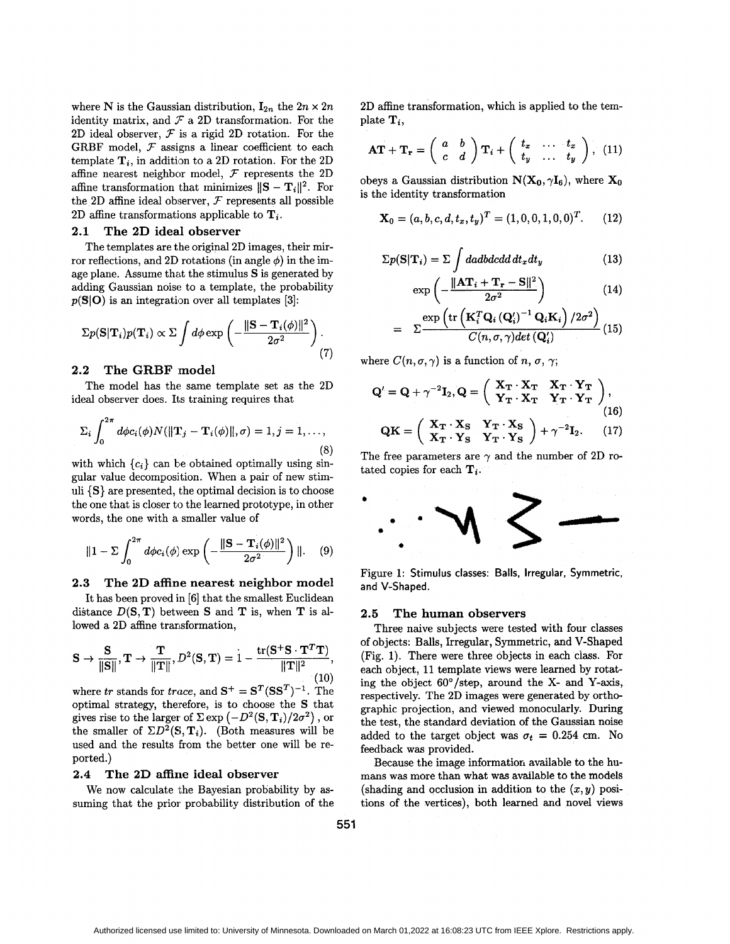where N is the Gaussian distribution,  $I_{2n}$  the  $2n \times 2n$ identity matrix, and  $\mathcal F$  a 2D transformation. For the 2D ideal observer, *T* is a rigid 2D rotation. For the GRBF model,  $F$  assigns a linear coefficient to each template  $\mathbf{T}_i$ , in addition to a 2D rotation. For the 2D affine nearest neighbor model,  $F$  represents the 2D affine transformation that minimizes  $||S - T_i||^2$ . For the 2D affine ideal observer, *T* represents all possible 2D affine transformations applicable to  $\mathbf{T}_i$ .

#### **2.1 The 2D ideal observer**

The templates are the original 2D images, their mirror reflections, and 2D rotations (in angle  $\phi$ ) in the image plane. Assume that the stimulus *S* is generated by adding Gaussian noise to a template, the probability *p(SI0)* is an integration over all templates **[3]:** 

$$
\Sigma p(\mathbf{S}|\mathbf{T}_i)p(\mathbf{T}_i) \propto \Sigma \int d\phi \exp\left(-\frac{\|\mathbf{S}-\mathbf{T}_i(\phi)\|^2}{2\sigma^2}\right). \tag{7}
$$

### 2.2 The GRBF model

ideal observer does. Its training requires that The model has the same template set as the 2D

$$
\Sigma_i \int_0^{2\pi} d\phi c_i(\phi) N(||\mathbf{T}_j - \mathbf{T}_i(\phi)||, \sigma) = 1, j = 1, \dots,
$$
\n(8)

with which  ${c_i}$  can be obtained optimally using singular value decomposition. When a pair of new stimuli **{S}** are presented, the optimal decision is to choose the one that is closer to the learned prototype, in other words, the one with a smaller value of

$$
\|1 - \Sigma \int_0^{2\pi} d\phi c_i(\phi) \exp\left(-\frac{\|\mathbf{S} - \mathbf{T}_i(\phi)\|^2}{2\sigma^2}\right) \|.\tag{9}
$$

### **2.3 The 2D affine nearest neighbor model**

It has been proved in *[6]* that the smallest Euclidean lowed a 2D affine transformation,

distance 
$$
D(S, T)
$$
 between S and T is, when T is allowed a 2D affine transformation,  
\n
$$
S \rightarrow \frac{S}{\|S\|}, T \rightarrow \frac{T}{\|T\|}, D^2(S, T) = 1 - \frac{\text{tr}(S^+S \cdot T^T T)}{\|T\|^2},
$$
\n(10)

 $\text{where } \textit{tr} \text{ stands for } \textit{trace}, \text{ and } \textbf{S}^+ = \textbf{S}^T(\textbf{S}\textbf{S}^T)^{-1}. \ \ \text{The}$ optimal strategy, therefore, is to choose the **S** that gives rise to the larger of  $\Sigma \exp(-D^2(S, T_i)/2\sigma^2)$ , or the smaller of  $\Sigma D^2(\mathbf{S}, \mathbf{T}_i)$ . (Both measures will be used and the results from the better one will be reported.)

#### **2.4 The 2D affine ideal observer**

We now calculate the Bayesian probability by assuming that the prior probability distribution of the 2D affine transformation, which is applied to the template  $\mathbf{T}_i$ .

$$
\mathbf{AT} + \mathbf{T_r} = \left(\begin{array}{cc} a & b \\ c & d \end{array}\right) \mathbf{T}_i + \left(\begin{array}{ccc} t_x & \dots & t_x \\ t_y & \dots & t_y \end{array}\right), \quad (11)
$$

obeys a Gaussian distribution  $N(X_0, \gamma I_6)$ , where  $X_0$ is the identity transformation

$$
\mathbf{X}_0 = (a, b, c, d, t_x, t_y)^T = (1, 0, 0, 1, 0, 0)^T. \tag{12}
$$

$$
\Sigma p(\mathbf{S}|\mathbf{T}_i) = \Sigma \int d\boldsymbol{a} d\boldsymbol{b} d\boldsymbol{c} d\boldsymbol{d} d\boldsymbol{t}_x dt_y \tag{13}
$$

$$
\exp\left(-\frac{\|\mathbf{A}\mathbf{T}_i+\mathbf{T}_r-\mathbf{S}\|^2}{2\sigma^2}\right) \tag{14}
$$

$$
= \sum \frac{\exp \left({\rm tr}\left({\bf K}_i^T {\bf Q}_i \left({\bf Q}_i'\right)^{-1} {\bf Q}_i {\bf K}_i\right) / 2 \sigma^2\right)}{C(n, \sigma, \gamma) det\left({\bf Q}_i'\right)} (15)
$$

where  $C(n, \sigma, \gamma)$  is a function of *n*,  $\sigma$ ,  $\gamma$ ;

$$
Q' = Q + \gamma^{-2}I_2, Q = \begin{pmatrix} X_T \cdot X_T & X_T \cdot Y_T \\ Y_T \cdot X_T & Y_T \cdot Y_T \end{pmatrix},
$$
  
\n
$$
QK = \begin{pmatrix} X_T \cdot X_S & Y_T \cdot X_S \\ X_T \cdot Y_S & Y_T \cdot Y_S \end{pmatrix} + \gamma^{-2}I_2.
$$
 (17)

The free parameters are  $\gamma$  and the number of 2D rotated copies for each  $\mathbf{T}_i$ .



Figure **1: Stimulus classes: Balls, Irregular, Symmetric, and V-Shaped.** 

#### **2.5 The human observers**

Three naive subjects were tested with four classes of objects: Balls, Irregular, Symmetric, and V-Shaped (Fig. **1).** There were three objects in each class. For each object, **11** template views were learned by rotating the object 60°/step, around the **X-** and Y-axis, respectively. The 2D images were generated by orthographic projection, and viewed monocularly. During the test, the standard deviation of the Gaussian noise added to the target object was  $\sigma_t = 0.254$  cm. No feedback was provided.

Because the image informatior, available to the humans was more than what **was** available to the models (shading and occlusion in addition to the  $(x, y)$  positions of the vertices), both learned and novel views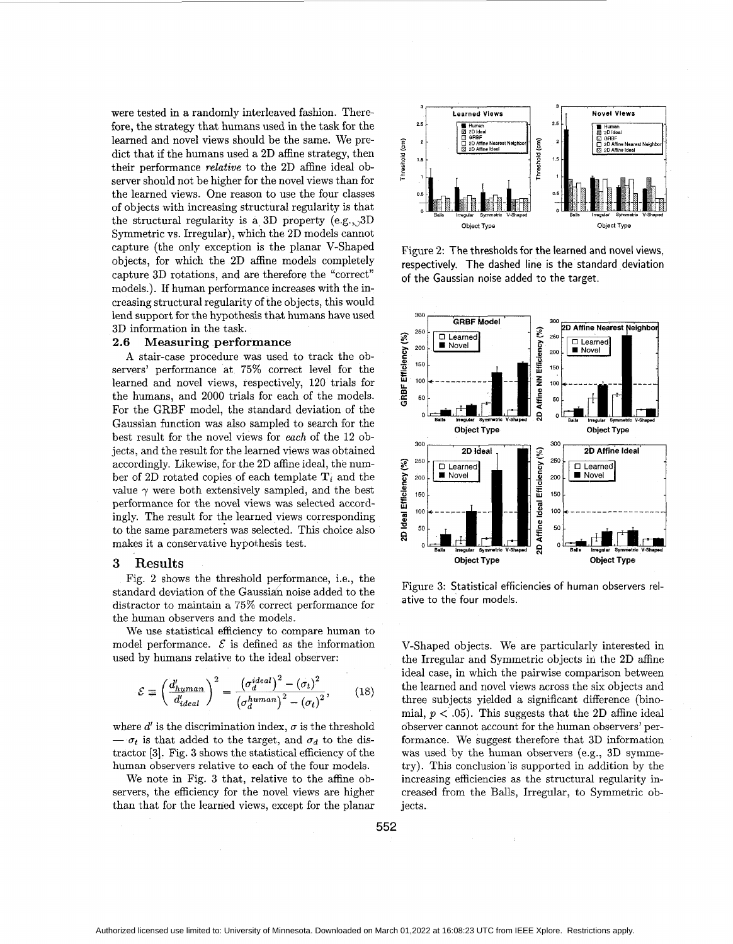were tested in a randomly interleaved fashion. Therefore, the strategy that humans used in the task for the learned and novel views should be the same. We predict that if the humans used a **2D** affine strategy, then their performance *relative* to the **2D** affine ideal observer should not be higher for the novel views than for the learned views. One reason to use the four classes of objects with increasing structural regularity is that Symmetric vs. Irregular), which the **2D** models cannot capture (the Only exception is the planar V-Shaped objects, for which the 2D affine models completely capture **3D** rotations, and are therefore the "correct" models.). If human performance increases with the increasing structural regularity of the objects, this would **bells Structural regularity is a 3D property (e.g., 3D Balls linguisr Symmetric V-Shaped Constant Constant Constant Constant Constant Constant Constant Constant Constant Constant Constant Constant Constant Constant Cons** lend support for the hypothesis that humans have used **3D** information in the task.

#### **2.6 Measuring performance**

**A** stair-case procedure was used to track the observers' performance at **75%** correct level for the learned and novel views, respectively, **120** trials for the humans, and **2000** trials for each of the models. For the GRBF model, the standard deviation of the Gaussian function was also sampled to search for the best result for the novel views for *each* of the **12** objects, and the result for the learned views was obtained accordingly. Likewise, for the **2D** affine ideal, the number of 2D rotated copies of each template  $T_i$  and the value  $\gamma$  were both extensively sampled, and the best performance for the novel views was selected accordingly. The result for the learned views corresponding to the same parameters was selected. This choice also makes it a conservative hypothesis test.

#### **3** Results

Fig. **2** shows the threshold performance, i.e., the standard deviation of the Gaussidn noise added to the distractor to maintain a 75% correct performance for the human observers and the models.

We use statistical efficiency to compare human to model performance.  $\mathcal E$  is defined as the information used by humans relative to the ideal observer:

$$
\mathcal{E} \equiv \left(\frac{d'_{human}}{d'_{ideal}}\right)^2 = \frac{\left(\sigma_d^{ideal}\right)^2 - \left(\sigma_t\right)^2}{\left(\sigma_d^{human}\right)^2 - \left(\sigma_t\right)^2},\tag{18}
$$

where  $d'$  is the discrimination index,  $\sigma$  is the threshold  $-\sigma_t$  is that added to the target, and  $\sigma_d$  to the distractor **[3].** Fig. **3** shows the statistical efficiency of the human observers relative to each of the four models.

We note in Fig. **3** that, relative to the affine observers, the efficiency for the novel views are higher than that for the learned views, except for the planar



Figure **2:** The thresholds for the learned and novel views, respectively. The dashed line is the standard deviation of the Gaussian noise added to the target.



Figure **3:** Statistical efficiencies of human observers relative to the four models.

V-Shaped objects. We are particularly interested in the Irregular and Symmetric objects in the 2D affine ideal case, in which the pairwise comparison between the learned and novel views across the six objects and three subjects yielded a significant difference (binomial,  $p < .05$ ). This suggests that the 2D affine ideal observer cannot account for the human observers' performance. We suggest therefore that **3D** information was used by the human observers (e.g., **3D** symmetry). This conclusion is supported in addition by the increasing efficiencies as the structural regularity increased from the Balls, Irregular, to Symmetric objects.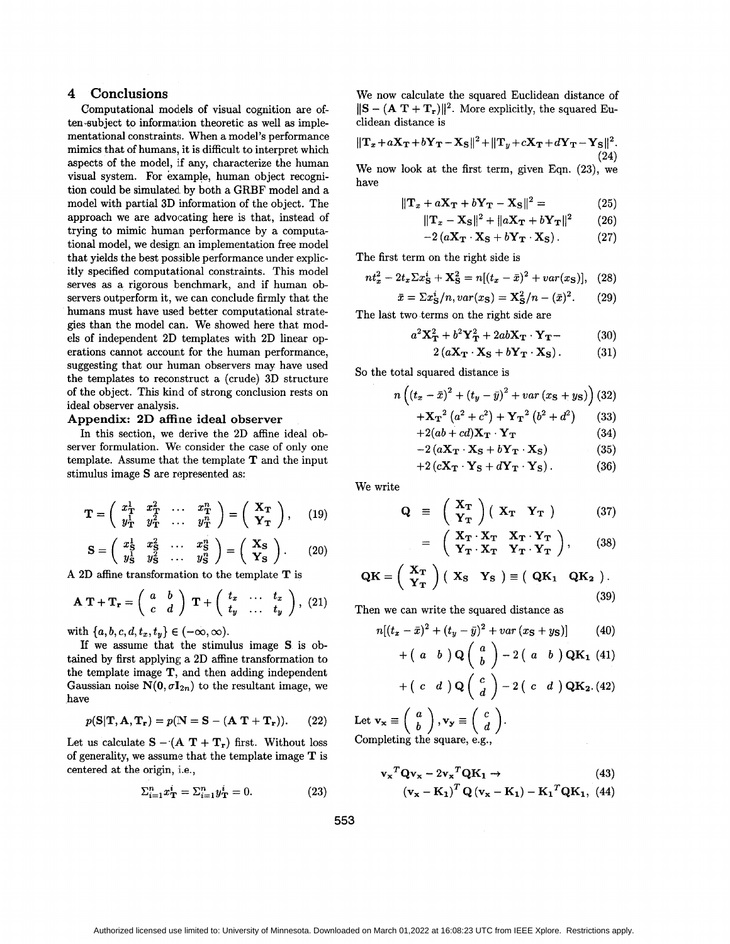### **4 Conclusions**

Computational models of visual cognition are often-subject to information theoretic as well as implementational constraints. When a model's performance mimics that of humans, it is difficult to interpret which aspects of the model, if any, characterize the human visual system. For example, human object recognition could be simulated by both a GRBF model and a model with partial **3D** information of the object. The approach we are advocating here is that, instead of trying to mimic human performance by a computational model, we design an implementation free model that yields the best possible performance under explicitly specified computational constraints. This model serves **as** a rigorous benchmark, and if human observers outperform it, we can conclude firmly that the humans must have used better computational strategies than the model can. We showed here that models of independent **2D** templates with **2D** linear operations cannot accounk for the human performance, suggesting that our human observers may have used the templates to reconstruct a (crude) **3D** structure of the object. This kind of strong conclusiop rests on ideal observer analysis.

### **Appendix: 2D affine ideal observer**

In this section, we derive the **2D** affine ideal observer formulation. We consider the case of only one template. Assume that the template **T** and the input stimulus image **S** are represented as:

$$
\mathbf{T} = \begin{pmatrix} x_{\mathbf{T}}^1 & x_{\mathbf{T}}^2 & \dots & x_{\mathbf{T}}^n \\ y_{\mathbf{T}}^1 & y_{\mathbf{T}}^2 & \dots & y_{\mathbf{T}}^n \end{pmatrix} = \begin{pmatrix} \mathbf{X_T} \\ \mathbf{Y_T} \end{pmatrix}, \quad (19)
$$

$$
\mathbf{S} = \left(\begin{array}{cccc} x_{\rm S}^1 & x_{\rm S}^2 & \dots & x_{\rm S}^n \\ y_{\rm S}^1 & y_{\rm S}^2 & \dots & y_{\rm S}^n \end{array}\right) = \left(\begin{array}{c} \mathbf{X}_{\rm S} \\ \mathbf{Y}_{\rm S} \end{array}\right). \tag{20}
$$

A **2D** affine transformation to the template **T** is

$$
\mathbf{A}.\mathbf{T} + \mathbf{T_r} = \left(\begin{array}{cc} a & b \\ c & d \end{array}\right) \mathbf{T} + \left(\begin{array}{cc} t_x & \dots & t_x \\ t_y & \dots & t_y \end{array}\right),\tag{21}
$$

with  $\{a,b,c,d,t_x,t_y\} \in (-\infty,\infty)$ .

If we assume that the stimulus image **S** is obtained by first applying a **2D** affine transformation to the template image **T,** and then adding independent Gaussian noise  $N(0, \sigma I_{2n})$  to the resultant image, we have

$$
p(S|T, A, T_r) = p(N = S - (A T + T_r)).
$$
 (22)

Let us calculate  $S - (A T + T_r)$  first. Without loss of generality, we assume that the template image **T** is centered at the origin, i.e.,

$$
\Sigma_{i=1}^{n} x_{\mathbf{T}}^{i} = \Sigma_{i=1}^{n} y_{\mathbf{T}}^{i} = 0.
$$
 (23)

We now calculate the squared Euclidean distance of  $\|\mathbf{S} - (\mathbf{A} \mathbf{T} + \mathbf{T}_r)\|^2$ . More explicitly, the squared Euclidean distance is

$$
\|\mathbf{T}_x + a\mathbf{X}_\mathbf{T} + b\mathbf{Y}_\mathbf{T} - \mathbf{X}_\mathbf{S}\|^2 + \|\mathbf{T}_y + c\mathbf{X}_\mathbf{T} + d\mathbf{Y}_\mathbf{T} - \mathbf{Y}_\mathbf{S}\|^2.
$$
\n(24)

We now look at the first term, given Eqn. **(23),** we have

$$
\|\mathbf{T}_x + a\mathbf{X}_\mathbf{T} + b\mathbf{Y}_\mathbf{T} - \mathbf{X}_\mathbf{S}\|^2 = \tag{25}
$$

$$
||\mathbf{T}_x - \mathbf{X}_S||^2 + ||a\mathbf{X}_T + b\mathbf{Y}_T||^2 \qquad (26)
$$

$$
-2(aX_{\mathbf{T}}\cdot X_{\mathbf{S}}+bY_{\mathbf{T}}\cdot X_{\mathbf{S}}). \t(27)
$$

The first term on the right side is

$$
nt_x^2 - 2t_x \Sigma x_S^i + \mathbf{X}_S^2 = n[(t_x - \bar{x})^2 + var(x_S)], \quad (28)
$$

$$
\bar{x} = \sum x_{\rm S}^{i} / n, var(x_{\rm S}) = X_{\rm S}^{2} / n - (\bar{x})^{2}.
$$
 (29)

The last two terms on the right side are

$$
a^2\mathbf{X}_{\mathbf{T}}^2 + b^2\mathbf{Y}_{\mathbf{T}}^2 + 2ab\mathbf{X}_{\mathbf{T}}\cdot\mathbf{Y}_{\mathbf{T}} - \qquad (30)
$$

$$
2(aX_{\mathbf{T}}\cdot X_{\mathbf{S}}+bY_{\mathbf{T}}\cdot X_{\mathbf{S}}).
$$
 (31)

So the total squared distance is

$$
n\left(\left(t_x-\bar{x}\right)^2+\left(t_y-\bar{y}\right)^2+var\left(x_{\rm S}+y_{\rm S}\right)\right)
$$
(32)

$$
+{\mathbf{X_{T}}}^{2}\left(a^{2}+c^{2}\right)+{\mathbf{Y_{T}}}^{2}\left(b^{2}+d^{2}\right) \qquad (33)
$$

$$
+2(ab+cd)\mathbf{X}_{\mathbf{T}}\cdot\mathbf{Y}_{\mathbf{T}} \tag{34}
$$

$$
-2(aX_{\mathbf{T}} \cdot X_{\mathbf{S}} + bY_{\mathbf{T}} \cdot X_{\mathbf{S}})
$$
 (35)

$$
+2\left(cX_{\mathbf{T}}\cdot Y_{\mathbf{S}}+dY_{\mathbf{T}}\cdot Y_{\mathbf{S}}\right). \t(36)
$$

We write

$$
\mathbf{Q} = \begin{pmatrix} \mathbf{X}_{\mathbf{T}} \\ \mathbf{Y}_{\mathbf{T}} \end{pmatrix} \begin{pmatrix} \mathbf{X}_{\mathbf{T}} & \mathbf{Y}_{\mathbf{T}} \end{pmatrix} \tag{37}
$$

$$
= \left(\begin{array}{cc} \mathbf{X}_{\mathbf{T}} \cdot \mathbf{X}_{\mathbf{T}} & \mathbf{X}_{\mathbf{T}} \cdot \mathbf{Y}_{\mathbf{T}} \\ \mathbf{Y}_{\mathbf{T}} \cdot \mathbf{X}_{\mathbf{T}} & \mathbf{Y}_{\mathbf{T}} \cdot \mathbf{Y}_{\mathbf{T}} \end{array}\right), \qquad (38)
$$

$$
QK = \begin{pmatrix} X_T \\ Y_T \end{pmatrix} (X_S \ Y_S) \equiv (QK_1 \ QK_2).
$$
\n(39)

Then we can write the squared distance as

$$
n[(t_x - \bar{x})^2 + (t_y - \bar{y})^2 + var(x_{\rm S} + y_{\rm S})]
$$
 (40)

$$
+ (a \ b) \mathbf{Q} \begin{pmatrix} a \\ b \end{pmatrix} - 2 (a \ b) \mathbf{Q} \mathbf{K}_1 \tag{41}
$$

$$
+ (c \ d) \mathbf{Q} \begin{pmatrix} c \\ d \end{pmatrix} - 2 (c \ d) \mathbf{QK}_2.(42)
$$

Let  $\mathbf{v_x} \equiv \begin{pmatrix} u \\ b \end{pmatrix}$ ,  $\mathbf{v_y} \equiv \begin{pmatrix} v \\ d \end{pmatrix}$ . Completing the square, **e.g.,** 

$$
\mathbf{v_x}^T \mathbf{Q} \mathbf{v_x} - 2 \mathbf{v_x}^T \mathbf{Q} \mathbf{K_1} \rightarrow
$$
\n
$$
(\mathbf{v_x} - \mathbf{K_1})^T \mathbf{Q} (\mathbf{v_x} - \mathbf{K_1}) - {\mathbf{K_1}}^T \mathbf{Q} \mathbf{K_1},
$$
\n(43)

**553**